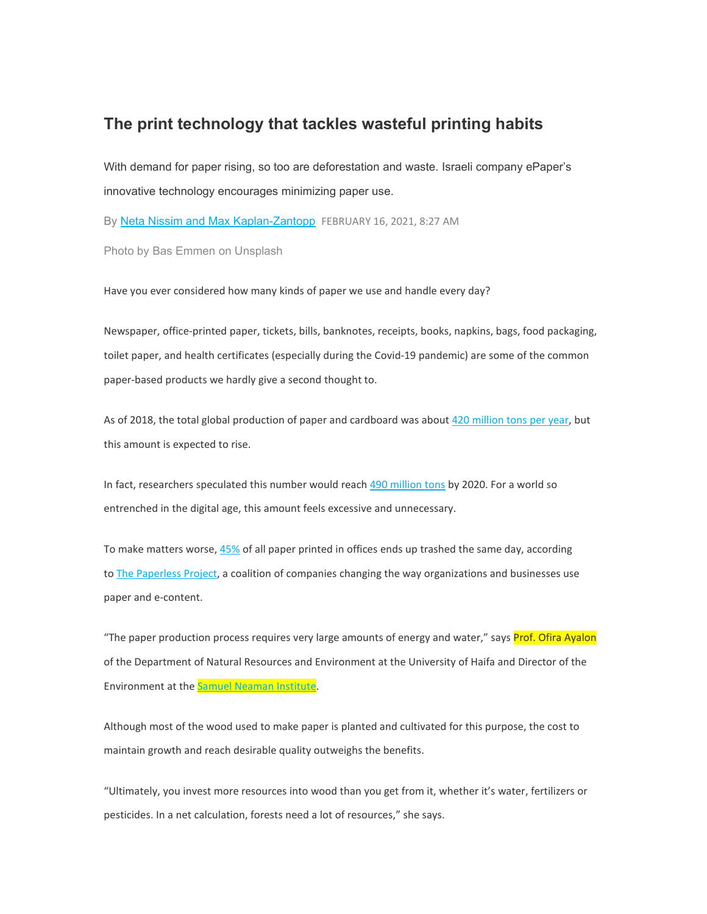## **The print technology that tackles wasteful printing habits**

With demand for paper rising, so too are deforestation and waste. Israeli company ePaper's innovative technology encourages minimizing paper use.

By Neta Nissim and Max [Kaplan-Zantopp](https://eur03.safelinks.protection.outlook.com/?url=https%3A%2F%2Fwww.israel21c.org%2Fwriter%2Fneta-nissim-and-max-kaplan-zantopp%2F&data=04%7C01%7Clinur%40sni.technion.ac.il%7Ca5c3a476ef9543ad80a308d8d2546339%7C324e8d2037ee4f44b5b4409e836a1780%7C0%7C0%7C637490607179208805%7CUnknown%7CTWFpbGZsb3d8eyJWIjoiMC4wLjAwMDAiLCJQIjoiV2luMzIiLCJBTiI6Ik1haWwiLCJXVCI6Mn0%3D%7C1000&sdata=To1546d5bmCxwP%2B6LD%2Fo2ctUFzITLFETNZLzamqR7wc%3D&reserved=0) FEBRUARY 16, 2021, 8:27 AM

Photo by Bas Emmen on Unsplash

Have you ever considered how many kinds of paper we use and handle every day?

Newspaper, office-printed paper, tickets, bills, banknotes, receipts, books, napkins, bags, food packaging, toilet paper, and health certificates (especially during the Covid-19 pandemic) are some of the common paper-based products we hardly give a second thought to.

As of 2018, the total global production of paper and cardboard was about 420 [million](https://eur03.safelinks.protection.outlook.com/?url=https%3A%2F%2Fwww.statista.com%2Fstatistics%2F270314%2Fproduction-of-paper-and-cardboard-in-selected-countries%2F&data=04%7C01%7Clinur%40sni.technion.ac.il%7Ca5c3a476ef9543ad80a308d8d2546339%7C324e8d2037ee4f44b5b4409e836a1780%7C0%7C0%7C637490607179218761%7CUnknown%7CTWFpbGZsb3d8eyJWIjoiMC4wLjAwMDAiLCJQIjoiV2luMzIiLCJBTiI6Ik1haWwiLCJXVCI6Mn0%3D%7C1000&sdata=WUzZJoJIxpYpnMmfr0nfbJH72tcr5vxEg3lcZLjuBBI%3D&reserved=0) tons per year, but this amount is expected to rise.

In fact, researchers speculated this number would reach 490 [million](https://eur03.safelinks.protection.outlook.com/?url=https%3A%2F%2Fwww.sciencedirect.com%2Ftopics%2Fearth-and-planetary-sciences%2Fpulp-and-paper-industry&data=04%7C01%7Clinur%40sni.technion.ac.il%7Ca5c3a476ef9543ad80a308d8d2546339%7C324e8d2037ee4f44b5b4409e836a1780%7C0%7C0%7C637490607179218761%7CUnknown%7CTWFpbGZsb3d8eyJWIjoiMC4wLjAwMDAiLCJQIjoiV2luMzIiLCJBTiI6Ik1haWwiLCJXVCI6Mn0%3D%7C1000&sdata=HMzkLnUaxr7AyV6apJIFEq84PoSPZ5kyYnQhk0F0QTE%3D&reserved=0) tons by 2020. For a world so entrenched in the digital age, this amount feels excessive and unnecessary.

To make matters worse, [45%](https://eur03.safelinks.protection.outlook.com/?url=https%3A%2F%2Fwww.azeusconvene.com%2Fwp-content%2Fuploads%2Fwhite-papers%2FEnvironmental-Costs-of-Using-Paper-in-the-Office-An-Overview.pdf&data=04%7C01%7Clinur%40sni.technion.ac.il%7Ca5c3a476ef9543ad80a308d8d2546339%7C324e8d2037ee4f44b5b4409e836a1780%7C0%7C0%7C637490607179228714%7CUnknown%7CTWFpbGZsb3d8eyJWIjoiMC4wLjAwMDAiLCJQIjoiV2luMzIiLCJBTiI6Ik1haWwiLCJXVCI6Mn0%3D%7C1000&sdata=A27xkZHcl8XUQPwXkSYUVt03kohCQBItRA3b%2FJOmDjY%3D&reserved=0) of all paper printed in offices ends up trashed the same day, according to **The [Paperless](https://eur03.safelinks.protection.outlook.com/?url=https:%2F%2Fsnowbound.com%2Fresources%2Farticles%2Fbusiness-benefits-industry-information%2Fpaperless-office-its-time-has-come%23:%7E:text%3DThe%2520Paperless%2520Project%2520is%2520one%2Ccontent%2520management%2520and%2520imaging%2520technologies.&data=04%7C01%7Clinur%40sni.technion.ac.il%7Ca5c3a476ef9543ad80a308d8d2546339%7C324e8d2037ee4f44b5b4409e836a1780%7C0%7C0%7C637490607179228714%7CUnknown%7CTWFpbGZsb3d8eyJWIjoiMC4wLjAwMDAiLCJQIjoiV2luMzIiLCJBTiI6Ik1haWwiLCJXVCI6Mn0%3D%7C1000&sdata=jk9muJQCFcy%2FiyaU%2Bl6VIJuVrAcxboFMG2K%2B1E8f2Wo%3D&reserved=0) Project**, a coalition of companies changing the way organizations and businesses use paper and e-content.

"The paper production process requires very large amounts of energy and water," says Prof. Ofira Ayalon of the Department of Natural Resources and Environment at the University of Haifa and Director of the Environment at the **Samuel Neaman Institute**.

Although most of the wood used to make paper is planted and cultivated for this purpose, the cost to maintain growth and reach desirable quality outweighs the benefits.

"Ultimately, you invest more resources into wood than you get from it, whether it's water, fertilizers or pesticides. In a net calculation, forests need a lot of resources," she says.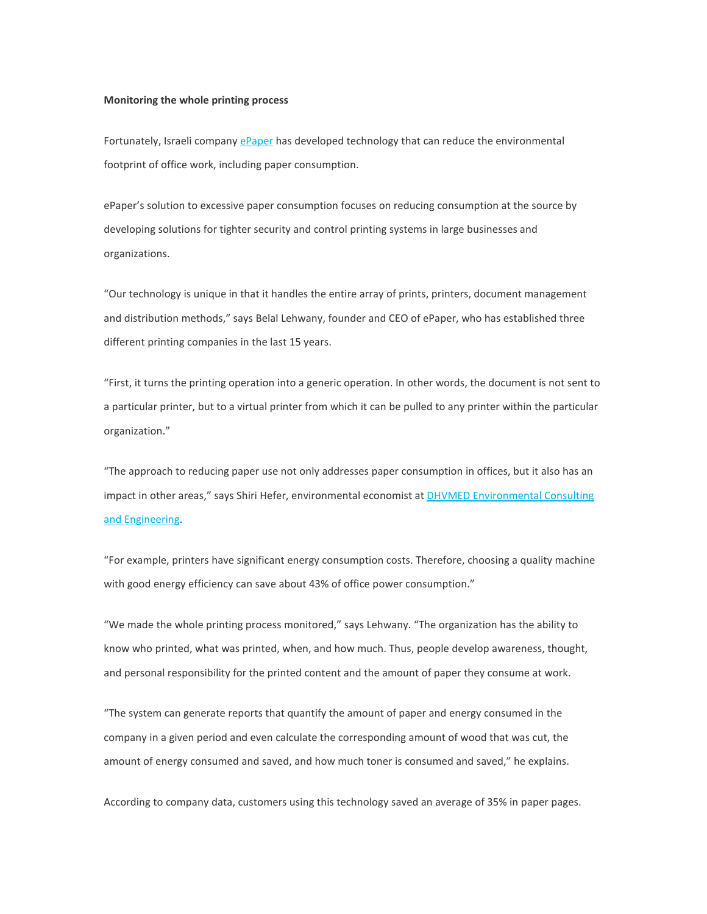## **Monitoring the whole printing process**

Fortunately, Israeli company [ePaper](https://eur03.safelinks.protection.outlook.com/?url=https%3A%2F%2Fwww.epapersign.com%2F&data=04%7C01%7Clinur%40sni.technion.ac.il%7Ca5c3a476ef9543ad80a308d8d2546339%7C324e8d2037ee4f44b5b4409e836a1780%7C0%7C0%7C637490607179238672%7CUnknown%7CTWFpbGZsb3d8eyJWIjoiMC4wLjAwMDAiLCJQIjoiV2luMzIiLCJBTiI6Ik1haWwiLCJXVCI6Mn0%3D%7C1000&sdata=XKyeQeBoyDB2hpQOvjV6TjfQOuMg%2B11wVJwgce%2BfbmA%3D&reserved=0) has developed technology that can reduce the environmental footprint of office work, including paper consumption.

ePaper's solution to excessive paper consumption focuses on reducing consumption at the source by developing solutions for tighter security and control printing systems in large businesses and organizations.

"Our technology is unique in that it handles the entire array of prints, printers, document management and distribution methods," says Belal Lehwany, founder and CEO of ePaper, who has established three different printing companies in the last 15 years.

"First, it turns the printing operation into a generic operation. In other words, the document is not sent to a particular printer, but to a virtual printer from which it can be pulled to any printer within the particular organization."

"The approach to reducing paper use not only addresses paper consumption in offices, but it also has an impact in other areas," says Shiri Hefer, environmental economist at **DHVMED [Environmental](https://eur03.safelinks.protection.outlook.com/?url=https%3A%2F%2Fdhvmed.com%2F&data=04%7C01%7Clinur%40sni.technion.ac.il%7Ca5c3a476ef9543ad80a308d8d2546339%7C324e8d2037ee4f44b5b4409e836a1780%7C0%7C0%7C637490607179238672%7CUnknown%7CTWFpbGZsb3d8eyJWIjoiMC4wLjAwMDAiLCJQIjoiV2luMzIiLCJBTiI6Ik1haWwiLCJXVCI6Mn0%3D%7C1000&sdata=2QhXKBfYzP9RLrn1bY9C4lXWb9PWaV%2FTbcSLg1rxSpU%3D&reserved=0) Consulting** and [Engineering.](https://eur03.safelinks.protection.outlook.com/?url=https%3A%2F%2Fdhvmed.com%2F&data=04%7C01%7Clinur%40sni.technion.ac.il%7Ca5c3a476ef9543ad80a308d8d2546339%7C324e8d2037ee4f44b5b4409e836a1780%7C0%7C0%7C637490607179238672%7CUnknown%7CTWFpbGZsb3d8eyJWIjoiMC4wLjAwMDAiLCJQIjoiV2luMzIiLCJBTiI6Ik1haWwiLCJXVCI6Mn0%3D%7C1000&sdata=2QhXKBfYzP9RLrn1bY9C4lXWb9PWaV%2FTbcSLg1rxSpU%3D&reserved=0)

"For example, printers have significant energy consumption costs. Therefore, choosing a quality machine with good energy efficiency can save about 43% of office power consumption."

"We made the whole printing process monitored," says Lehwany. "The organization has the ability to know who printed, what was printed, when, and how much. Thus, people develop awareness, thought, and personal responsibility for the printed content and the amount of paper they consume at work.

"The system can generate reports that quantify the amount of paper and energy consumed in the company in a given period and even calculate the corresponding amount of wood that was cut, the amount of energy consumed and saved, and how much toner is consumed and saved," he explains.

According to company data, customers using this technology saved an average of 35% in paper pages.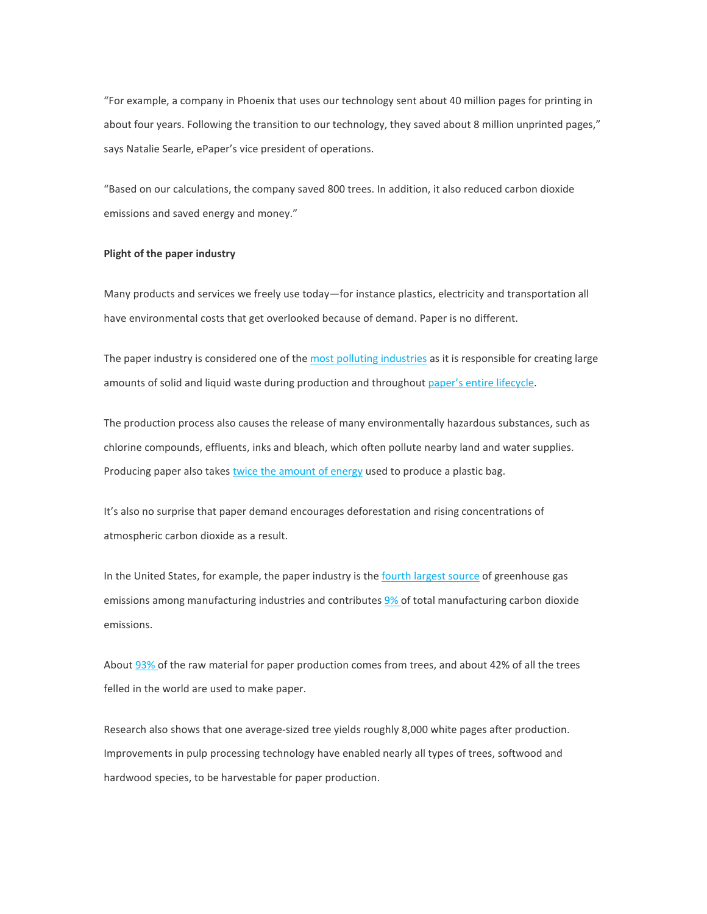"For example, a company in Phoenix that uses our technology sent about 40 million pages for printing in about four years. Following the transition to our technology, they saved about 8 million unprinted pages," says Natalie Searle, ePaper's vice president of operations.

"Based on our calculations, the company saved 800 trees. In addition, it also reduced carbon dioxide emissions and saved energy and money."

## **Plight of the paper industry**

Many products and services we freely use today—for instance plastics, electricity and transportation all have environmental costs that get overlooked because of demand. Paper is no different.

The paper industry is considered one of the most polluting [industries](https://eur03.safelinks.protection.outlook.com/?url=https%3A%2F%2Fwww.sciencedirect.com%2Ftopics%2Fearth-and-planetary-sciences%2Fpulp-and-paper-industry&data=04%7C01%7Clinur%40sni.technion.ac.il%7Ca5c3a476ef9543ad80a308d8d2546339%7C324e8d2037ee4f44b5b4409e836a1780%7C0%7C0%7C637490607179248631%7CUnknown%7CTWFpbGZsb3d8eyJWIjoiMC4wLjAwMDAiLCJQIjoiV2luMzIiLCJBTiI6Ik1haWwiLCJXVCI6Mn0%3D%7C1000&sdata=PFK6O%2BqAkkmCKXfl1TjW%2B4HO0pHFSkAmG2Sqa6LjRUI%3D&reserved=0) as it is responsible for creating large amounts of solid and liquid waste during production and throughout paper's entire [lifecycle.](https://eur03.safelinks.protection.outlook.com/?url=https%3A%2F%2Fsustainability.ceres.org.au%2Fwp-content%2Fuploads%2Fsites%2F4%2F2013%2F05%2FCERES-Life-Cycle-of-Paper-Activity.pdf&data=04%7C01%7Clinur%40sni.technion.ac.il%7Ca5c3a476ef9543ad80a308d8d2546339%7C324e8d2037ee4f44b5b4409e836a1780%7C0%7C0%7C637490607179248631%7CUnknown%7CTWFpbGZsb3d8eyJWIjoiMC4wLjAwMDAiLCJQIjoiV2luMzIiLCJBTiI6Ik1haWwiLCJXVCI6Mn0%3D%7C1000&sdata=jt1eDnhr%2Bq0WwBa5%2F2u4058sE0ydx21bxvsKyW6gRFw%3D&reserved=0)

The production process also causes the release of many environmentally hazardous substances, such as chlorine compounds, effluents, inks and bleach, which often pollute nearby land and water supplies. Producing paper also takes twice the [amount](https://eur03.safelinks.protection.outlook.com/?url=https%3A%2F%2Fwww.ijert.org%2Fresearch%2Fenvironmental-impact-of-paper-industry-IJERTCONV3IS20096.pdf&data=04%7C01%7Clinur%40sni.technion.ac.il%7Ca5c3a476ef9543ad80a308d8d2546339%7C324e8d2037ee4f44b5b4409e836a1780%7C0%7C0%7C637490607179248631%7CUnknown%7CTWFpbGZsb3d8eyJWIjoiMC4wLjAwMDAiLCJQIjoiV2luMzIiLCJBTiI6Ik1haWwiLCJXVCI6Mn0%3D%7C1000&sdata=j9JZ2F3UUa%2BVIX2eF%2BiYYIWDL8b%2FXxVKh2lLnSwPlis%3D&reserved=0) of energy used to produce a plastic bag.

It's also no surprise that paper demand encourages deforestation and rising concentrations of atmospheric carbon dioxide as a result.

In the United States, for example, the paper industry is the fourth [largest](https://eur03.safelinks.protection.outlook.com/?url=https%3A%2F%2Fdigital.hbs.edu%2Fplatform-rctom%2Fsubmission%2Fthe-same-old-process-but-much-cleaner-international-paper%2F&data=04%7C01%7Clinur%40sni.technion.ac.il%7Ca5c3a476ef9543ad80a308d8d2546339%7C324e8d2037ee4f44b5b4409e836a1780%7C0%7C0%7C637490607179258588%7CUnknown%7CTWFpbGZsb3d8eyJWIjoiMC4wLjAwMDAiLCJQIjoiV2luMzIiLCJBTiI6Ik1haWwiLCJXVCI6Mn0%3D%7C1000&sdata=aSxHLka1fCBQQlaJGIjraj%2F9njJenhITuEUr%2BIiVKQc%3D&reserved=0) source of greenhouse gas emissions among manufacturing industries and contributes [9%](https://eur03.safelinks.protection.outlook.com/?url=https%3A%2F%2Fenvironmentalpaper.org%2Fwp-content%2Fuploads%2F2017%2F08%2Fstate-of-the-paper-industry-2007-full.pdf&data=04%7C01%7Clinur%40sni.technion.ac.il%7Ca5c3a476ef9543ad80a308d8d2546339%7C324e8d2037ee4f44b5b4409e836a1780%7C0%7C0%7C637490607179258588%7CUnknown%7CTWFpbGZsb3d8eyJWIjoiMC4wLjAwMDAiLCJQIjoiV2luMzIiLCJBTiI6Ik1haWwiLCJXVCI6Mn0%3D%7C1000&sdata=Buy3%2Bckc5NoV3eZVl9oostzRyVMaTFsGxs07R1TXze0%3D&reserved=0) of total manufacturing carbon dioxide emissions.

About [93%](https://eur03.safelinks.protection.outlook.com/?url=https%3A%2F%2Fwww.ijert.org%2Fresearch%2Fenvironmental-impact-of-paper-industry-IJERTCONV3IS20096.pdf&data=04%7C01%7Clinur%40sni.technion.ac.il%7Ca5c3a476ef9543ad80a308d8d2546339%7C324e8d2037ee4f44b5b4409e836a1780%7C0%7C0%7C637490607179268546%7CUnknown%7CTWFpbGZsb3d8eyJWIjoiMC4wLjAwMDAiLCJQIjoiV2luMzIiLCJBTiI6Ik1haWwiLCJXVCI6Mn0%3D%7C1000&sdata=H9tUWeg9ebLFja1k0LGpyGZLEEtSsrNlZvFudaD4sGc%3D&reserved=0) of the raw material for paper production comes from trees, and about 42% of all the trees felled in the world are used to make paper.

Research also shows that one average-sized tree yields roughly 8,000 white pages after production. Improvements in pulp processing technology have enabled nearly all types of trees, softwood and hardwood species, to be harvestable for paper production.